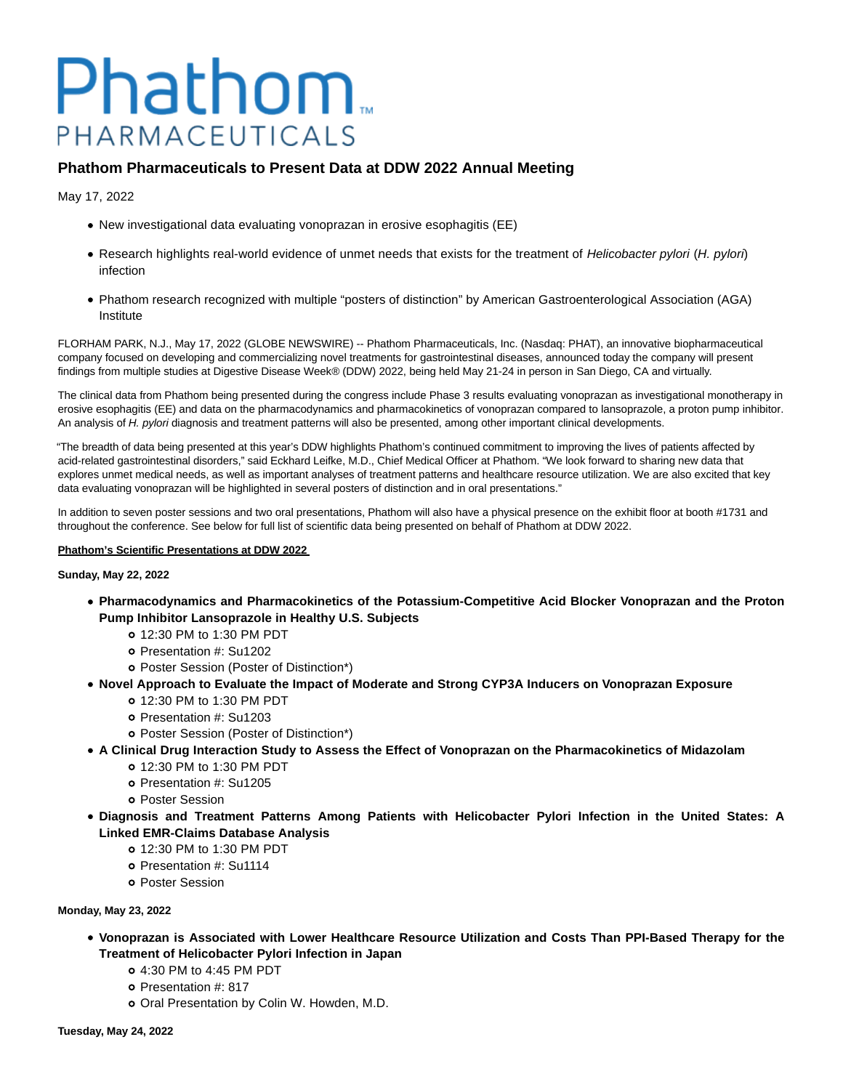# Phathom. PHARMACEUTICALS

# **Phathom Pharmaceuticals to Present Data at DDW 2022 Annual Meeting**

May 17, 2022

- New investigational data evaluating vonoprazan in erosive esophagitis (EE)
- Research highlights real-world evidence of unmet needs that exists for the treatment of Helicobacter pylori (H. pylori) infection
- Phathom research recognized with multiple "posters of distinction" by American Gastroenterological Association (AGA) Institute

FLORHAM PARK, N.J., May 17, 2022 (GLOBE NEWSWIRE) -- Phathom Pharmaceuticals, Inc. (Nasdaq: PHAT), an innovative biopharmaceutical company focused on developing and commercializing novel treatments for gastrointestinal diseases, announced today the company will present findings from multiple studies at Digestive Disease Week® (DDW) 2022, being held May 21-24 in person in San Diego, CA and virtually.

The clinical data from Phathom being presented during the congress include Phase 3 results evaluating vonoprazan as investigational monotherapy in erosive esophagitis (EE) and data on the pharmacodynamics and pharmacokinetics of vonoprazan compared to lansoprazole, a proton pump inhibitor. An analysis of H. pylori diagnosis and treatment patterns will also be presented, among other important clinical developments.

"The breadth of data being presented at this year's DDW highlights Phathom's continued commitment to improving the lives of patients affected by acid-related gastrointestinal disorders," said Eckhard Leifke, M.D., Chief Medical Officer at Phathom. "We look forward to sharing new data that explores unmet medical needs, as well as important analyses of treatment patterns and healthcare resource utilization. We are also excited that key data evaluating vonoprazan will be highlighted in several posters of distinction and in oral presentations."

In addition to seven poster sessions and two oral presentations, Phathom will also have a physical presence on the exhibit floor at booth #1731 and throughout the conference. See below for full list of scientific data being presented on behalf of Phathom at DDW 2022.

#### **Phathom's Scientific Presentations at DDW 2022**

#### **Sunday, May 22, 2022**

- **Pharmacodynamics and Pharmacokinetics of the Potassium-Competitive Acid Blocker Vonoprazan and the Proton Pump Inhibitor Lansoprazole in Healthy U.S. Subjects**
	- 12:30 PM to 1:30 PM PDT
	- Presentation #: Su1202
	- Poster Session (Poster of Distinction\*)
- **Novel Approach to Evaluate the Impact of Moderate and Strong CYP3A Inducers on Vonoprazan Exposure**
	- 12:30 PM to 1:30 PM PDT
	- Presentation #: Su1203
	- Poster Session (Poster of Distinction\*)
- **A Clinical Drug Interaction Study to Assess the Effect of Vonoprazan on the Pharmacokinetics of Midazolam**
	- 12:30 PM to 1:30 PM PDT
		- Presentation #: Su1205
		- Poster Session
- **Diagnosis and Treatment Patterns Among Patients with Helicobacter Pylori Infection in the United States: A Linked EMR-Claims Database Analysis**
	- 12:30 PM to 1:30 PM PDT
	- Presentation #: Su1114
	- Poster Session

#### **Monday, May 23, 2022**

- **Vonoprazan is Associated with Lower Healthcare Resource Utilization and Costs Than PPI-Based Therapy for the Treatment of Helicobacter Pylori Infection in Japan**
	- 4:30 PM to 4:45 PM PDT
		- Presentation #: 817
		- Oral Presentation by Colin W. Howden, M.D.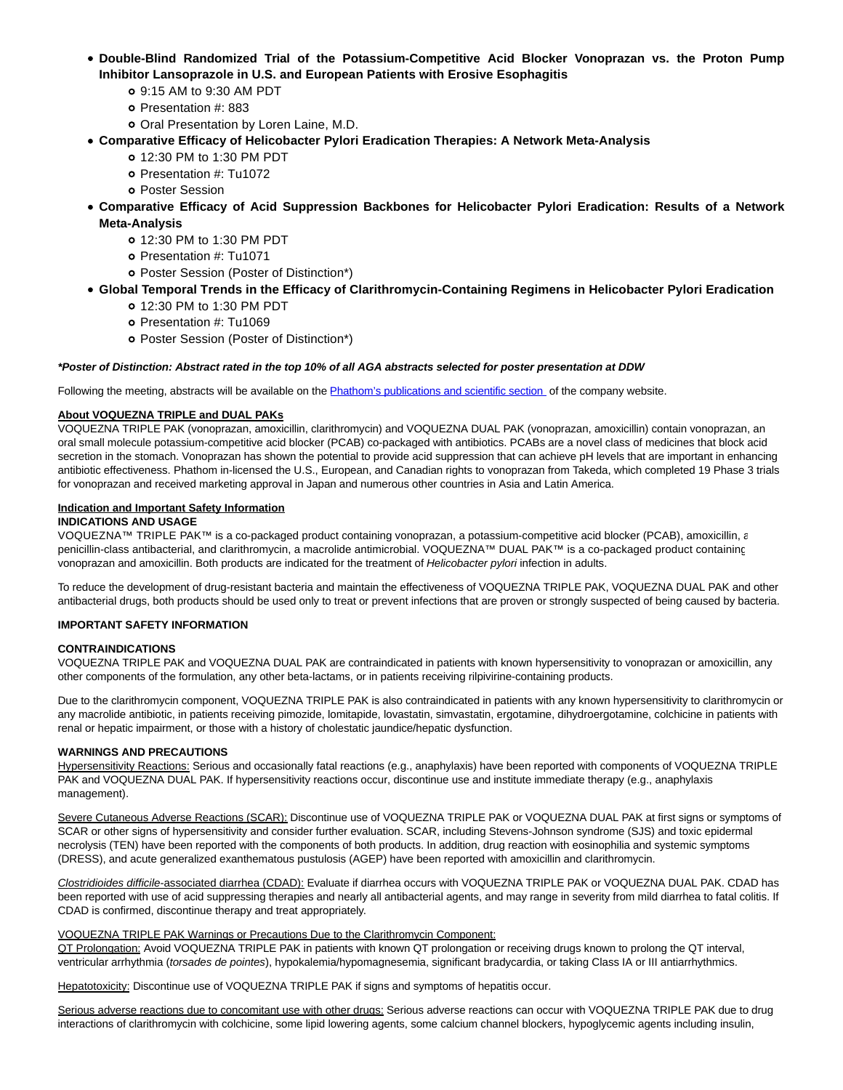- **Double-Blind Randomized Trial of the Potassium-Competitive Acid Blocker Vonoprazan vs. the Proton Pump Inhibitor Lansoprazole in U.S. and European Patients with Erosive Esophagitis**
	- 9:15 AM to 9:30 AM PDT
	- Presentation #: 883
	- Oral Presentation by Loren Laine, M.D.
- **Comparative Efficacy of Helicobacter Pylori Eradication Therapies: A Network Meta-Analysis**
	- 12:30 PM to 1:30 PM PDT
	- Presentation #: Tu1072
	- Poster Session
- **Comparative Efficacy of Acid Suppression Backbones for Helicobacter Pylori Eradication: Results of a Network Meta-Analysis**
	- 12:30 PM to 1:30 PM PDT
	- o Presentation #: Tu1071
	- Poster Session (Poster of Distinction\*)
- **Global Temporal Trends in the Efficacy of Clarithromycin-Containing Regimens in Helicobacter Pylori Eradication**
	- 12:30 PM to 1:30 PM PDT
	- Presentation #: Tu1069
	- Poster Session (Poster of Distinction\*)

#### **\*Poster of Distinction: Abstract rated in the top 10% of all AGA abstracts selected for poster presentation at DDW**

Following the meeting, abstracts will be available on the **Phathom's publications and scientific section** of the company website.

## **About VOQUEZNA TRIPLE and DUAL PAKs**

VOQUEZNA TRIPLE PAK (vonoprazan, amoxicillin, clarithromycin) and VOQUEZNA DUAL PAK (vonoprazan, amoxicillin) contain vonoprazan, an oral small molecule potassium-competitive acid blocker (PCAB) co-packaged with antibiotics. PCABs are a novel class of medicines that block acid secretion in the stomach. Vonoprazan has shown the potential to provide acid suppression that can achieve pH levels that are important in enhancing antibiotic effectiveness. Phathom in-licensed the U.S., European, and Canadian rights to vonoprazan from Takeda, which completed 19 Phase 3 trials for vonoprazan and received marketing approval in Japan and numerous other countries in Asia and Latin America.

### **Indication and Important Safety Information**

# **INDICATIONS AND USAGE**

VOQUEZNA™ TRIPLE PAK™ is a co-packaged product containing vonoprazan, a potassium-competitive acid blocker (PCAB), amoxicillin, a penicillin-class antibacterial, and clarithromycin, a macrolide antimicrobial. VOQUEZNA™ DUAL PAK™ is a co-packaged product containing vonoprazan and amoxicillin. Both products are indicated for the treatment of Helicobacter pylori infection in adults.

To reduce the development of drug-resistant bacteria and maintain the effectiveness of VOQUEZNA TRIPLE PAK, VOQUEZNA DUAL PAK and other antibacterial drugs, both products should be used only to treat or prevent infections that are proven or strongly suspected of being caused by bacteria.

#### **IMPORTANT SAFETY INFORMATION**

#### **CONTRAINDICATIONS**

VOQUEZNA TRIPLE PAK and VOQUEZNA DUAL PAK are contraindicated in patients with known hypersensitivity to vonoprazan or amoxicillin, any other components of the formulation, any other beta-lactams, or in patients receiving rilpivirine-containing products.

Due to the clarithromycin component, VOQUEZNA TRIPLE PAK is also contraindicated in patients with any known hypersensitivity to clarithromycin or any macrolide antibiotic, in patients receiving pimozide, lomitapide, lovastatin, simvastatin, ergotamine, dihydroergotamine, colchicine in patients with renal or hepatic impairment, or those with a history of cholestatic jaundice/hepatic dysfunction.

#### **WARNINGS AND PRECAUTIONS**

Hypersensitivity Reactions: Serious and occasionally fatal reactions (e.g., anaphylaxis) have been reported with components of VOQUEZNA TRIPLE PAK and VOQUEZNA DUAL PAK. If hypersensitivity reactions occur, discontinue use and institute immediate therapy (e.g., anaphylaxis management).

Severe Cutaneous Adverse Reactions (SCAR): Discontinue use of VOQUEZNA TRIPLE PAK or VOQUEZNA DUAL PAK at first signs or symptoms of SCAR or other signs of hypersensitivity and consider further evaluation. SCAR, including Stevens-Johnson syndrome (SJS) and toxic epidermal necrolysis (TEN) have been reported with the components of both products. In addition, drug reaction with eosinophilia and systemic symptoms (DRESS), and acute generalized exanthematous pustulosis (AGEP) have been reported with amoxicillin and clarithromycin.

Clostridioides difficile-associated diarrhea (CDAD): Evaluate if diarrhea occurs with VOQUEZNA TRIPLE PAK or VOQUEZNA DUAL PAK. CDAD has been reported with use of acid suppressing therapies and nearly all antibacterial agents, and may range in severity from mild diarrhea to fatal colitis. If CDAD is confirmed, discontinue therapy and treat appropriately.

#### VOQUEZNA TRIPLE PAK Warnings or Precautions Due to the Clarithromycin Component:

QT Prolongation: Avoid VOQUEZNA TRIPLE PAK in patients with known QT prolongation or receiving drugs known to prolong the QT interval, ventricular arrhythmia (torsades de pointes), hypokalemia/hypomagnesemia, significant bradycardia, or taking Class IA or III antiarrhythmics.

Hepatotoxicity: Discontinue use of VOQUEZNA TRIPLE PAK if signs and symptoms of hepatitis occur.

Serious adverse reactions due to concomitant use with other drugs: Serious adverse reactions can occur with VOQUEZNA TRIPLE PAK due to drug interactions of clarithromycin with colchicine, some lipid lowering agents, some calcium channel blockers, hypoglycemic agents including insulin,